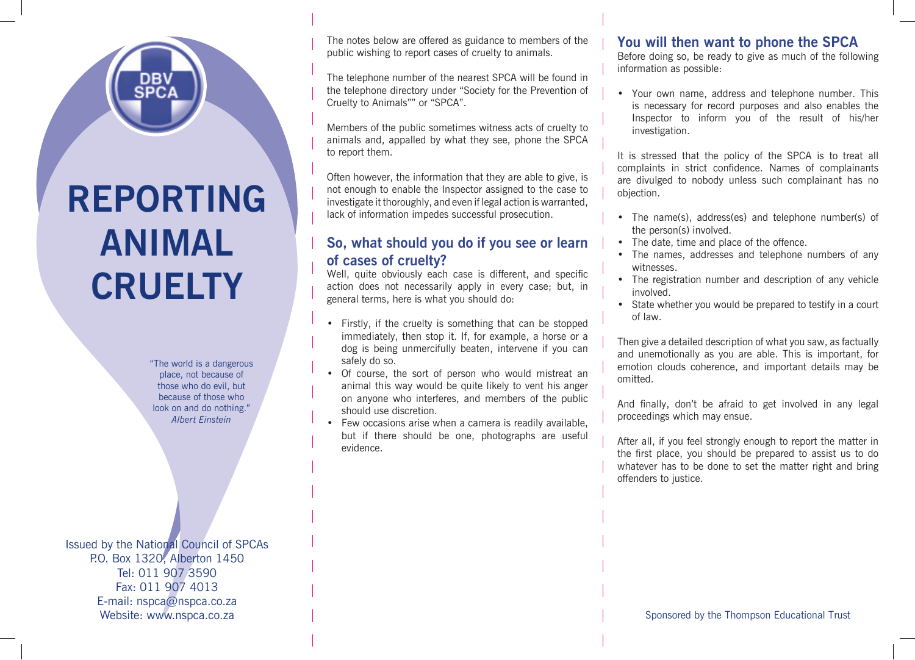# **REPORTING ANIMAL CRUELTY**

"The world is a dangerous place, not because of those who do evil, but because of those who look on and do nothing." *Albert Einstein*

Issued by the National Council of SPCAs P.O. Box 1320, Alberton 1450 Tel: 011 907 3590 Fax: 011 907 4013 E-mail: nspca@nspca.co.za Website: www.nspca.co.za

The notes below are offered as guidance to members of the public wishing to report cases of cruelty to animals.

The telephone number of the nearest SPCA will be found in the telephone directory under "Society for the Prevention of Cruelty to Animals"" or "SPCA".

Members of the public sometimes witness acts of cruelty to animals and, appalled by what they see, phone the SPCA to report them.

Often however, the information that they are able to give, is not enough to enable the Inspector assigned to the case to investigate it thoroughly, and even if legal action is warranted, lack of information impedes successful prosecution.

### **So, what should you do if you see or learn of cases of cruelty?**

Well, quite obviously each case is different, and specific action does not necessarily apply in every case; but, in general terms, here is what you should do:

- Firstly, if the cruelty is something that can be stopped immediately, then stop it. If, for example, a horse or a dog is being unmercifully beaten, intervene if you can safely do so.
- Of course, the sort of person who would mistreat an animal this way would be quite likely to vent his anger on anyone who interferes, and members of the public should use discretion.
- Few occasions arise when a camera is readily available, but if there should be one, photographs are useful evidence.

## **You will then want to phone the SPCA**

Before doing so, be ready to give as much of the following information as possible:

• Your own name, address and telephone number. This is necessary for record purposes and also enables the Inspector to inform you of the result of his/her investigation.

It is stressed that the policy of the SPCA is to treat all complaints in strict confidence. Names of complainants are divulged to nobody unless such complainant has no objection.

- The name(s), address(es) and telephone number(s) of the person(s) involved.
- The date, time and place of the offence.
- The names, addresses and telephone numbers of any witnesses.
- The registration number and description of any vehicle involved.
- State whether you would be prepared to testify in a court of law.

Then give a detailed description of what you saw, as factually and unemotionally as you are able. This is important, for emotion clouds coherence, and important details may be omitted.

And finally, don't be afraid to get involved in any legal proceedings which may ensue.

After all, if you feel strongly enough to report the matter in the first place, you should be prepared to assist us to do whatever has to be done to set the matter right and bring offenders to justice.